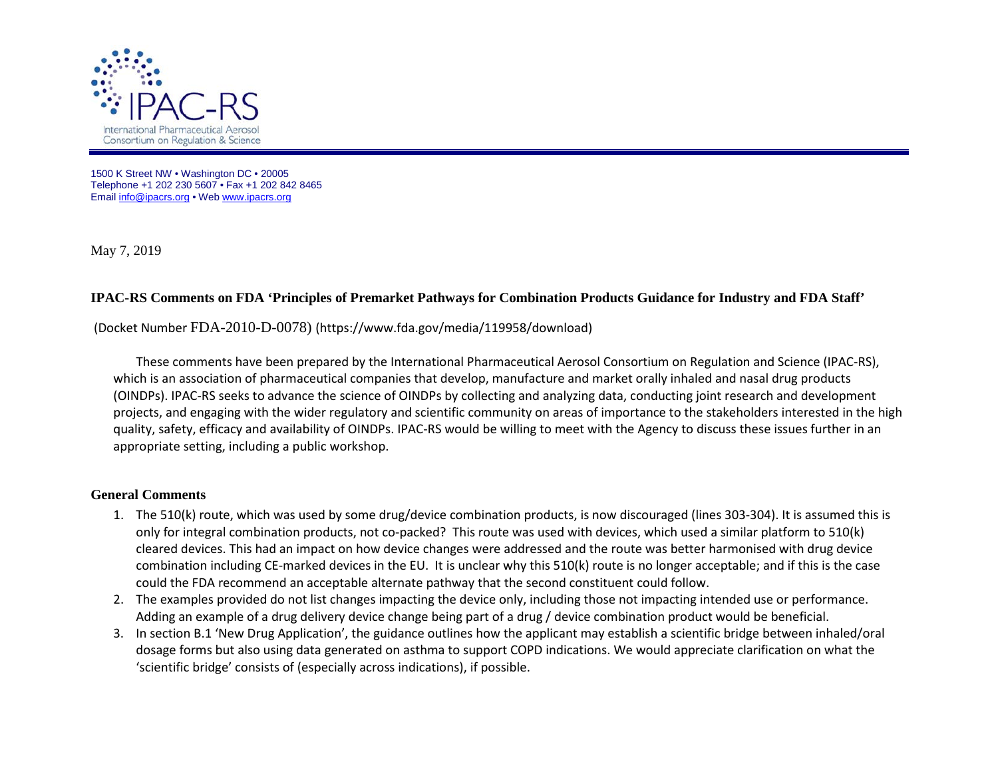

1500 K Street NW • Washington DC • 20005 Telephone +1 202 230 5607 • Fax +1 202 842 8465 Emai[l info@ipacrs.org](mailto:info@ipacrs.org) • We[b www.ipacrs.org](http://www.ipacrs.org/)

May 7, 2019

## **IPAC-RS Comments on FDA 'Principles of Premarket Pathways for Combination Products Guidance for Industry and FDA Staff'**

## (Docket Number FDA-2010-D-0078) (https://www.fda.gov/media/119958/download)

These comments have been prepared by the International Pharmaceutical Aerosol Consortium on Regulation and Science (IPAC-RS), which is an association of pharmaceutical companies that develop, manufacture and market orally inhaled and nasal drug products (OINDPs). IPAC-RS seeks to advance the science of OINDPs by collecting and analyzing data, conducting joint research and development projects, and engaging with the wider regulatory and scientific community on areas of importance to the stakeholders interested in the high quality, safety, efficacy and availability of OINDPs. IPAC-RS would be willing to meet with the Agency to discuss these issues further in an appropriate setting, including a public workshop.

## **General Comments**

- 1. The 510(k) route, which was used by some drug/device combination products, is now discouraged (lines 303-304). It is assumed this is only for integral combination products, not co-packed? This route was used with devices, which used a similar platform to 510(k) cleared devices. This had an impact on how device changes were addressed and the route was better harmonised with drug device combination including CE-marked devices in the EU. It is unclear why this 510(k) route is no longer acceptable; and if this is the case could the FDA recommend an acceptable alternate pathway that the second constituent could follow.
- 2. The examples provided do not list changes impacting the device only, including those not impacting intended use or performance. Adding an example of a drug delivery device change being part of a drug / device combination product would be beneficial.
- 3. In section B.1 'New Drug Application', the guidance outlines how the applicant may establish a scientific bridge between inhaled/oral dosage forms but also using data generated on asthma to support COPD indications. We would appreciate clarification on what the 'scientific bridge' consists of (especially across indications), if possible.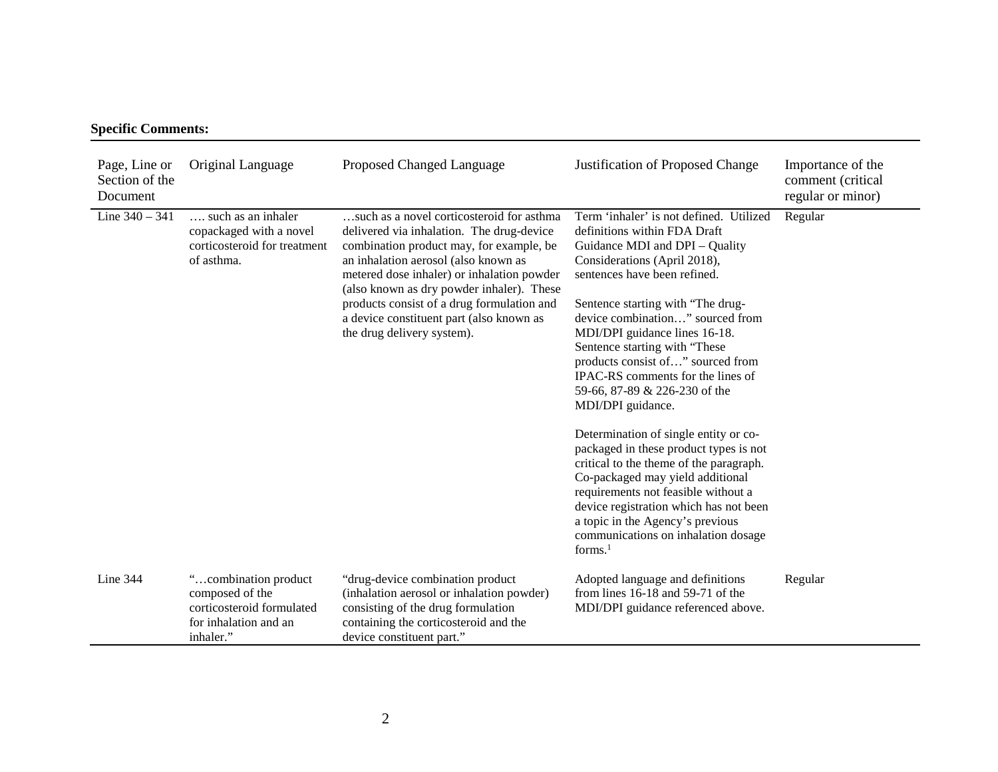## **Specific Comments:**

| Page, Line or<br>Section of the<br>Document | Original Language                                                                                          | Proposed Changed Language                                                                                                                                                                                                                                                                                                                                                                     | Justification of Proposed Change                                                                                                                                                                                                                                                                                                                                                                                                                                                                                                                                                                                                                                                                                                                                                                 | Importance of the<br>comment (critical<br>regular or minor) |
|---------------------------------------------|------------------------------------------------------------------------------------------------------------|-----------------------------------------------------------------------------------------------------------------------------------------------------------------------------------------------------------------------------------------------------------------------------------------------------------------------------------------------------------------------------------------------|--------------------------------------------------------------------------------------------------------------------------------------------------------------------------------------------------------------------------------------------------------------------------------------------------------------------------------------------------------------------------------------------------------------------------------------------------------------------------------------------------------------------------------------------------------------------------------------------------------------------------------------------------------------------------------------------------------------------------------------------------------------------------------------------------|-------------------------------------------------------------|
| Line $340 - 341$                            | such as an inhaler<br>copackaged with a novel<br>corticosteroid for treatment<br>of asthma.                | such as a novel corticosteroid for asthma<br>delivered via inhalation. The drug-device<br>combination product may, for example, be<br>an inhalation aerosol (also known as<br>metered dose inhaler) or inhalation powder<br>(also known as dry powder inhaler). These<br>products consist of a drug formulation and<br>a device constituent part (also known as<br>the drug delivery system). | Term 'inhaler' is not defined. Utilized<br>definitions within FDA Draft<br>Guidance MDI and DPI - Quality<br>Considerations (April 2018),<br>sentences have been refined.<br>Sentence starting with "The drug-<br>device combination" sourced from<br>MDI/DPI guidance lines 16-18.<br>Sentence starting with "These<br>products consist of" sourced from<br>IPAC-RS comments for the lines of<br>59-66, 87-89 & 226-230 of the<br>MDI/DPI guidance.<br>Determination of single entity or co-<br>packaged in these product types is not<br>critical to the theme of the paragraph.<br>Co-packaged may yield additional<br>requirements not feasible without a<br>device registration which has not been<br>a topic in the Agency's previous<br>communications on inhalation dosage<br>forms. $1$ | Regular                                                     |
| Line $344$                                  | "combination product<br>composed of the<br>corticosteroid formulated<br>for inhalation and an<br>inhaler." | "drug-device combination product<br>(inhalation aerosol or inhalation powder)<br>consisting of the drug formulation<br>containing the corticosteroid and the<br>device constituent part."                                                                                                                                                                                                     | Adopted language and definitions<br>from lines $16-18$ and $59-71$ of the<br>MDI/DPI guidance referenced above.                                                                                                                                                                                                                                                                                                                                                                                                                                                                                                                                                                                                                                                                                  | Regular                                                     |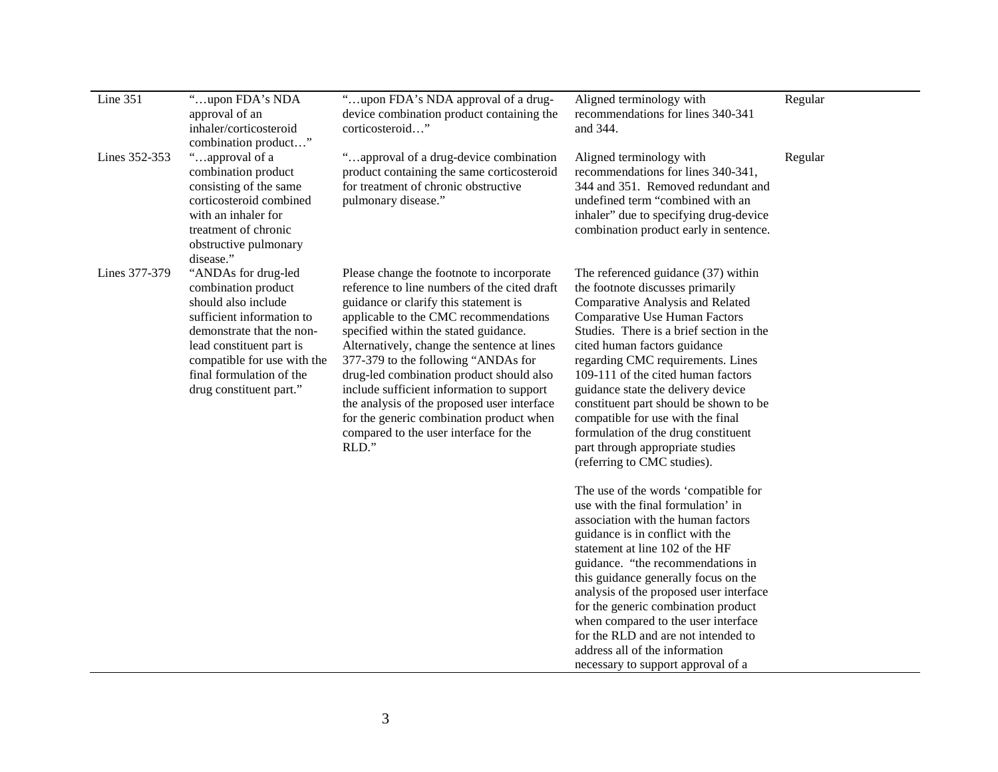| Line 351      | "upon FDA's NDA<br>approval of an<br>inhaler/corticosteroid<br>combination product"                                                                                                                                                           | "upon FDA's NDA approval of a drug-<br>device combination product containing the<br>corticosteroid"                                                                                                                                                                                                                                                                                                                                                                                                                                               | Aligned terminology with<br>recommendations for lines 340-341<br>and 344.                                                                                                                                                                                                                                                                                                                                                                                                                                                                                                                                                                                                                                                                                                                                                                                                                                                                                                                                                                                 | Regular |
|---------------|-----------------------------------------------------------------------------------------------------------------------------------------------------------------------------------------------------------------------------------------------|---------------------------------------------------------------------------------------------------------------------------------------------------------------------------------------------------------------------------------------------------------------------------------------------------------------------------------------------------------------------------------------------------------------------------------------------------------------------------------------------------------------------------------------------------|-----------------------------------------------------------------------------------------------------------------------------------------------------------------------------------------------------------------------------------------------------------------------------------------------------------------------------------------------------------------------------------------------------------------------------------------------------------------------------------------------------------------------------------------------------------------------------------------------------------------------------------------------------------------------------------------------------------------------------------------------------------------------------------------------------------------------------------------------------------------------------------------------------------------------------------------------------------------------------------------------------------------------------------------------------------|---------|
| Lines 352-353 | "approval of a<br>combination product<br>consisting of the same<br>corticosteroid combined<br>with an inhaler for<br>treatment of chronic<br>obstructive pulmonary<br>disease."                                                               | "approval of a drug-device combination<br>product containing the same corticosteroid<br>for treatment of chronic obstructive<br>pulmonary disease."                                                                                                                                                                                                                                                                                                                                                                                               | Aligned terminology with<br>recommendations for lines 340-341,<br>344 and 351. Removed redundant and<br>undefined term "combined with an<br>inhaler" due to specifying drug-device<br>combination product early in sentence.                                                                                                                                                                                                                                                                                                                                                                                                                                                                                                                                                                                                                                                                                                                                                                                                                              | Regular |
| Lines 377-379 | "ANDAs for drug-led<br>combination product<br>should also include<br>sufficient information to<br>demonstrate that the non-<br>lead constituent part is<br>compatible for use with the<br>final formulation of the<br>drug constituent part." | Please change the footnote to incorporate<br>reference to line numbers of the cited draft<br>guidance or clarify this statement is<br>applicable to the CMC recommendations<br>specified within the stated guidance.<br>Alternatively, change the sentence at lines<br>377-379 to the following "ANDAs for<br>drug-led combination product should also<br>include sufficient information to support<br>the analysis of the proposed user interface<br>for the generic combination product when<br>compared to the user interface for the<br>RLD." | The referenced guidance (37) within<br>the footnote discusses primarily<br>Comparative Analysis and Related<br><b>Comparative Use Human Factors</b><br>Studies. There is a brief section in the<br>cited human factors guidance<br>regarding CMC requirements. Lines<br>109-111 of the cited human factors<br>guidance state the delivery device<br>constituent part should be shown to be<br>compatible for use with the final<br>formulation of the drug constituent<br>part through appropriate studies<br>(referring to CMC studies).<br>The use of the words 'compatible for<br>use with the final formulation' in<br>association with the human factors<br>guidance is in conflict with the<br>statement at line 102 of the HF<br>guidance. "the recommendations in<br>this guidance generally focus on the<br>analysis of the proposed user interface<br>for the generic combination product<br>when compared to the user interface<br>for the RLD and are not intended to<br>address all of the information<br>necessary to support approval of a |         |